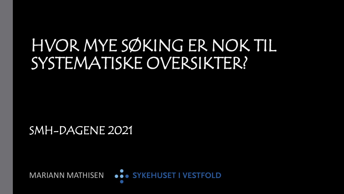# HVOR MYE SØKING ER NOK TIL SYSTEMATISKE OVERSIKTER?

SMH-DAGENE 2021

**MARIANN MATHISEN ODDET I VESTFOLD**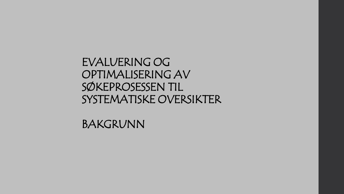EVALUERING OG OPTIMALISERING AV SØKEPROSESSEN TIL SYSTEMATISKE OVERSIKTER

BAKGRUNN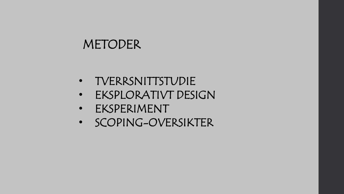## METODER

- TVERRSNITTSTUDIE
- EKSPLORATIVT DESIGN
- EKSPERIMENT
- SCOPING-OVERSIKTER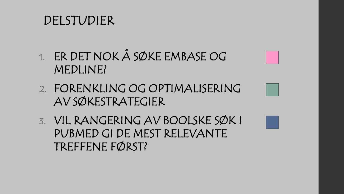### DELSTUDIER

- 1. ER DET NOK Å SØKE EMBASE OG MEDLINE?
- 2. FORENKLING OG OPTIMALISERING AV SØKESTRATEGIER
- 3. VIL RANGERING AV BOOLSKE SØK I PUBMED GI DE MEST RELEVANTE TREFFENE FØRST?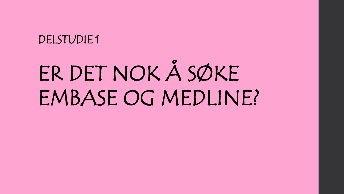### DELSTUDIE 1

# ER DET NOK Å SØKE EMBASE OG MEDLINE?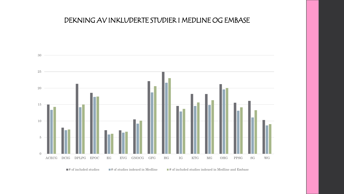#### DEKNING AV INKLUDERTE STUDIER I MEDLINE OG EMBASE



 $\Box$ # of included studies  $\Box$ # of studies indexed in Medline  $\Box$ # of included studies indexed in Medline and Embase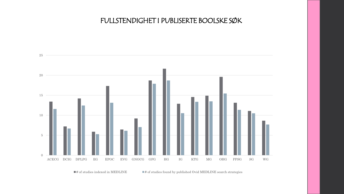#### FULLSTENDIGHET I PUBLISERTE BOOLSKE SØK



 $\blacksquare$ # of studies indexed in MEDLINE  $\blacksquare$  # of studies found by published Ovid MEDLINE search strategies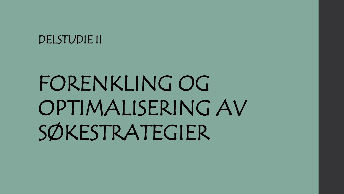### DELSTUDIE II

# FORENKLING OG OPTIMALISERING AV SØKESTRATEGIER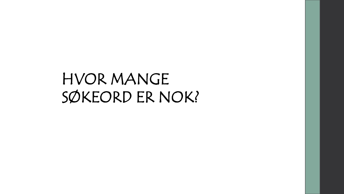## HVOR MANGE SØKEORD ER NOK?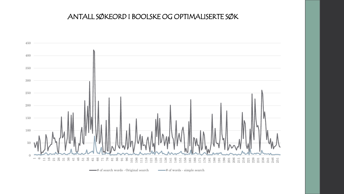#### ANTALL SØKEORD I BOOLSKE OG OPTIMALISERTE SØK



# of search words - Original search # of words - simple search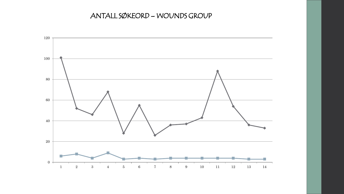#### ANTALL SØKEORD – WOUNDS GROUP

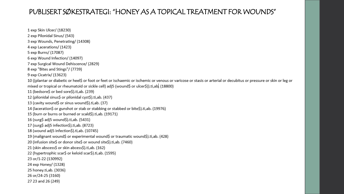#### PUBLISERT SØKESTRATEGI: "HONEY AS A TOPICAL TREATMENT FOR WOUNDS"

1 exp Skin Ulcer/ (18230) 2 exp Pilonidal Sinus/ (543) 3 exp Wounds, Penetrating/ (14308) 4 exp Lacerations/ (1423) 5 exp Burns/ (17087) 6 exp Wound Infection/ (14097) 7 exp Surgical Wound Dehiscence/ (2829) 8 exp "Bites and Stings"/ (7739) 9 exp Cicatrix/ (13623) 10 ((plantar or diabetic or heel\$ or foot or feet or ischaemic or ischemic or venous or varicose or stasis or arterial or decubitus or pressure or skin or leg or mixed or tropical or rheumatoid or sickle cell) adj5 (wound\$ or ulcer\$)).ti,ab. (18800) 11 (bedsore\$ or bed sore\$).ti,ab. (239) 12 (pilonidal sinus\$ or pilonidal cyst\$).ti,ab. (437) 13 (cavity wound\$ or sinus wound\$).ti,ab. (37) 14 (laceration\$ or gunshot or stab or stabbing or stabbed or bite\$).ti,ab. (19976) 15 (burn or burns or burned or scald\$).ti,ab. (19171) 16 (surg\$ adj5 wound\$).ti,ab. (5431) 17 (surg\$ adj5 infection\$).ti,ab. (8723) 18 (wound adj5 infection\$).ti,ab. (10745) 19 (malignant wound\$ or experimental wound\$ or traumatic wound\$).ti,ab. (428) 20 (infusion site\$ or donor site\$ or wound site\$).ti,ab. (7460) 21 (skin abscess\$ or skin abcess\$).ti,ab. (162) 22 (hypertrophic scar\$ or keloid scar\$).ti,ab. (1595) 23 or/1-22 (130992) 24 exp Honey/ (1328) 25 honey.ti,ab. (3036) 26 or/24-25 (3160) 27 23 and 26 (249)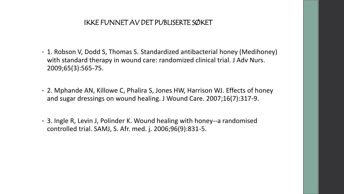#### IKKE FUNNET AV DET PUBLISERTE SØKET

- 1. Robson V, Dodd S, Thomas S. Standardized antibacterial honey (Medihoney) with standard therapy in wound care: randomized clinical trial. J Adv Nurs. 2009;65(3):565-75.
- 2. Mphande AN, Killowe C, Phalira S, Jones HW, Harrison WJ. Effects of honey and sugar dressings on wound healing. J Wound Care. 2007;16(7):317-9.
- 3. Ingle R, Levin J, Polinder K. Wound healing with honey--a randomised controlled trial. SAMJ, S. Afr. med. j. 2006;96(9):831-5.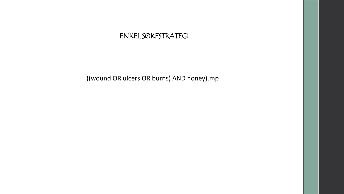#### ENKEL SØKESTRATEGI

((wound OR ulcers OR burns) AND honey).mp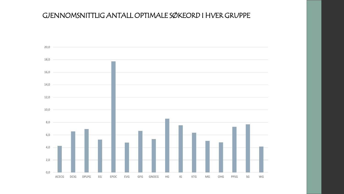#### GJENNOMSNITTLIG ANTALL OPTIMALE SØKEORD I HVER GRUPPE

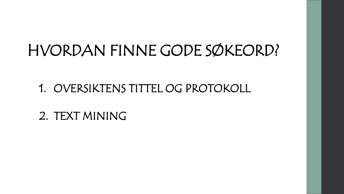# HVORDAN FINNE GODE SØKEORD?

1. OVERSIKTENS TITTEL OG PROTOKOLL

2. TEXT MINING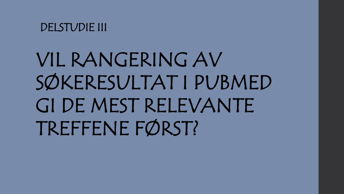DELSTUDIE III

VIL RANGERING AV SØKERESULTAT I PUBMED GI DE MEST RELEVANTE TREFFENE FØRST?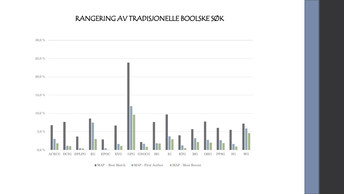#### RANGERING AV TRADISJONELLE BOOLSKE SØK



#### ■ MAP - Best Match 
■ MAP - First Author ■ MAP - Most Recent